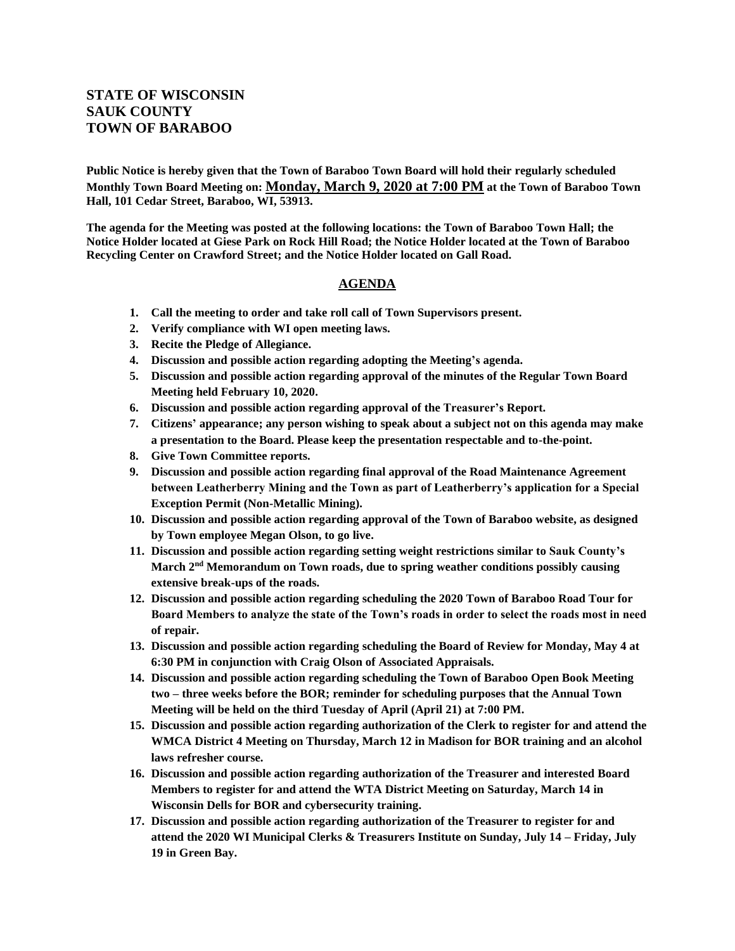## **STATE OF WISCONSIN SAUK COUNTY TOWN OF BARABOO**

**Public Notice is hereby given that the Town of Baraboo Town Board will hold their regularly scheduled Monthly Town Board Meeting on: Monday, March 9, 2020 at 7:00 PM at the Town of Baraboo Town Hall, 101 Cedar Street, Baraboo, WI, 53913.**

**The agenda for the Meeting was posted at the following locations: the Town of Baraboo Town Hall; the Notice Holder located at Giese Park on Rock Hill Road; the Notice Holder located at the Town of Baraboo Recycling Center on Crawford Street; and the Notice Holder located on Gall Road.**

## **AGENDA**

- **1. Call the meeting to order and take roll call of Town Supervisors present.**
- **2. Verify compliance with WI open meeting laws.**
- **3. Recite the Pledge of Allegiance.**
- **4. Discussion and possible action regarding adopting the Meeting's agenda.**
- **5. Discussion and possible action regarding approval of the minutes of the Regular Town Board Meeting held February 10, 2020.**
- **6. Discussion and possible action regarding approval of the Treasurer's Report.**
- **7. Citizens' appearance; any person wishing to speak about a subject not on this agenda may make a presentation to the Board. Please keep the presentation respectable and to-the-point.**
- **8. Give Town Committee reports.**
- **9. Discussion and possible action regarding final approval of the Road Maintenance Agreement between Leatherberry Mining and the Town as part of Leatherberry's application for a Special Exception Permit (Non-Metallic Mining).**
- **10. Discussion and possible action regarding approval of the Town of Baraboo website, as designed by Town employee Megan Olson, to go live.**
- **11. Discussion and possible action regarding setting weight restrictions similar to Sauk County's March 2nd Memorandum on Town roads, due to spring weather conditions possibly causing extensive break-ups of the roads.**
- **12. Discussion and possible action regarding scheduling the 2020 Town of Baraboo Road Tour for Board Members to analyze the state of the Town's roads in order to select the roads most in need of repair.**
- **13. Discussion and possible action regarding scheduling the Board of Review for Monday, May 4 at 6:30 PM in conjunction with Craig Olson of Associated Appraisals.**
- **14. Discussion and possible action regarding scheduling the Town of Baraboo Open Book Meeting two – three weeks before the BOR; reminder for scheduling purposes that the Annual Town Meeting will be held on the third Tuesday of April (April 21) at 7:00 PM.**
- **15. Discussion and possible action regarding authorization of the Clerk to register for and attend the WMCA District 4 Meeting on Thursday, March 12 in Madison for BOR training and an alcohol laws refresher course.**
- **16. Discussion and possible action regarding authorization of the Treasurer and interested Board Members to register for and attend the WTA District Meeting on Saturday, March 14 in Wisconsin Dells for BOR and cybersecurity training.**
- **17. Discussion and possible action regarding authorization of the Treasurer to register for and attend the 2020 WI Municipal Clerks & Treasurers Institute on Sunday, July 14 – Friday, July 19 in Green Bay.**